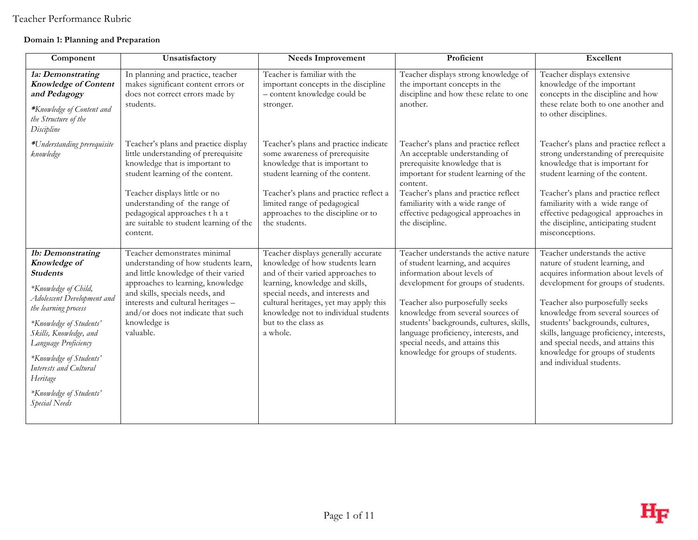### **Domain 1: Planning and Preparation**

| Component                                                                                                                                                                                                                                                                                                                    | Unsatisfactory                                                                                                                                                                                                                                                                                             | <b>Needs Improvement</b>                                                                                                                                                                                                                                                                                | Proficient                                                                                                                                                                                                                                                                                                                                                                           | Excellent                                                                                                                                                                                                                                                                                                                                                                                                       |
|------------------------------------------------------------------------------------------------------------------------------------------------------------------------------------------------------------------------------------------------------------------------------------------------------------------------------|------------------------------------------------------------------------------------------------------------------------------------------------------------------------------------------------------------------------------------------------------------------------------------------------------------|---------------------------------------------------------------------------------------------------------------------------------------------------------------------------------------------------------------------------------------------------------------------------------------------------------|--------------------------------------------------------------------------------------------------------------------------------------------------------------------------------------------------------------------------------------------------------------------------------------------------------------------------------------------------------------------------------------|-----------------------------------------------------------------------------------------------------------------------------------------------------------------------------------------------------------------------------------------------------------------------------------------------------------------------------------------------------------------------------------------------------------------|
| 1a: Demonstrating<br><b>Knowledge of Content</b><br>and Pedagogy<br>*Knowledge of Content and<br>the Structure of the<br>Discipline                                                                                                                                                                                          | In planning and practice, teacher<br>makes significant content errors or<br>does not correct errors made by<br>students.                                                                                                                                                                                   | Teacher is familiar with the<br>important concepts in the discipline<br>- content knowledge could be<br>stronger.                                                                                                                                                                                       | Teacher displays strong knowledge of<br>the important concepts in the<br>discipline and how these relate to one<br>another.                                                                                                                                                                                                                                                          | Teacher displays extensive<br>knowledge of the important<br>concepts in the discipline and how<br>these relate both to one another and<br>to other disciplines.                                                                                                                                                                                                                                                 |
| *Understanding prerequisite<br>knowledge                                                                                                                                                                                                                                                                                     | Teacher's plans and practice display<br>little understanding of prerequisite<br>knowledge that is important to<br>student learning of the content.<br>Teacher displays little or no<br>understanding of the range of<br>pedagogical approaches that<br>are suitable to student learning of the<br>content. | Teacher's plans and practice indicate<br>some awareness of prerequisite<br>knowledge that is important to<br>student learning of the content.<br>Teacher's plans and practice reflect a<br>limited range of pedagogical<br>approaches to the discipline or to<br>the students.                          | Teacher's plans and practice reflect<br>An acceptable understanding of<br>prerequisite knowledge that is<br>important for student learning of the<br>content.<br>Teacher's plans and practice reflect<br>familiarity with a wide range of<br>effective pedagogical approaches in<br>the discipline.                                                                                  | Teacher's plans and practice reflect a<br>strong understanding of prerequisite<br>knowledge that is important for<br>student learning of the content.<br>Teacher's plans and practice reflect<br>familiarity with a wide range of<br>effective pedagogical approaches in<br>the discipline, anticipating student<br>misconceptions.                                                                             |
| 1b: Demonstrating<br>Knowledge of<br><b>Students</b><br>*Knowledge of Child,<br>Adolescent Development and<br>the learning process<br>*Knowledge of Students'<br>Skills, Knowledge, and<br>Language Proficiency<br>*Knowledge of Students'<br>Interests and Cultural<br>Heritage<br>*Knowledge of Students'<br>Special Needs | Teacher demonstrates minimal<br>understanding of how students learn,<br>and little knowledge of their varied<br>approaches to learning, knowledge<br>and skills, specials needs, and<br>interests and cultural heritages -<br>and/or does not indicate that such<br>knowledge is<br>valuable.              | Teacher displays generally accurate<br>knowledge of how students learn<br>and of their varied approaches to<br>learning, knowledge and skills,<br>special needs, and interests and<br>cultural heritages, yet may apply this<br>knowledge not to individual students<br>but to the class as<br>a whole. | Teacher understands the active nature<br>of student learning, and acquires<br>information about levels of<br>development for groups of students.<br>Teacher also purposefully seeks<br>knowledge from several sources of<br>students' backgrounds, cultures, skills,<br>language proficiency, interests, and<br>special needs, and attains this<br>knowledge for groups of students. | Teacher understands the active<br>nature of student learning, and<br>acquires information about levels of<br>development for groups of students.<br>Teacher also purposefully seeks<br>knowledge from several sources of<br>students' backgrounds, cultures,<br>skills, language proficiency, interests,<br>and special needs, and attains this<br>knowledge for groups of students<br>and individual students. |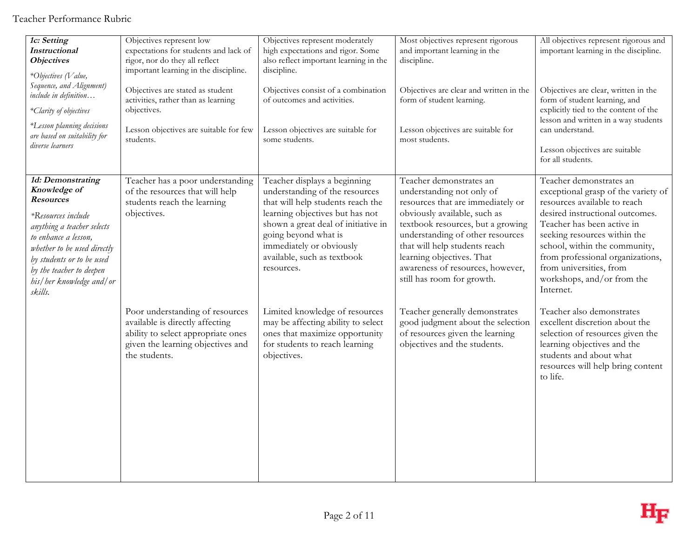| 1c: Setting<br><b>Instructional</b><br><b>Objectives</b><br>*Objectives (Value,<br>Sequence, and Alignment)<br>include in definition<br>*Clarity of objectives<br>*Lesson planning decisions<br>are based on suitability for<br>diverse learners                 | Objectives represent low<br>expectations for students and lack of<br>rigor, nor do they all reflect<br>important learning in the discipline.<br>Objectives are stated as student<br>activities, rather than as learning<br>objectives.<br>Lesson objectives are suitable for few<br>students. | Objectives represent moderately<br>high expectations and rigor. Some<br>also reflect important learning in the<br>discipline.<br>Objectives consist of a combination<br>of outcomes and activities.<br>Lesson objectives are suitable for<br>some students.                    | Most objectives represent rigorous<br>and important learning in the<br>discipline.<br>Objectives are clear and written in the<br>form of student learning.<br>Lesson objectives are suitable for<br>most students.                                                                                                                 | All objectives represent rigorous and<br>important learning in the discipline.<br>Objectives are clear, written in the<br>form of student learning, and<br>explicitly tied to the content of the<br>lesson and written in a way students<br>can understand.<br>Lesson objectives are suitable<br>for all students.                         |
|------------------------------------------------------------------------------------------------------------------------------------------------------------------------------------------------------------------------------------------------------------------|-----------------------------------------------------------------------------------------------------------------------------------------------------------------------------------------------------------------------------------------------------------------------------------------------|--------------------------------------------------------------------------------------------------------------------------------------------------------------------------------------------------------------------------------------------------------------------------------|------------------------------------------------------------------------------------------------------------------------------------------------------------------------------------------------------------------------------------------------------------------------------------------------------------------------------------|--------------------------------------------------------------------------------------------------------------------------------------------------------------------------------------------------------------------------------------------------------------------------------------------------------------------------------------------|
| 1d: Demonstrating<br>Knowledge of<br><b>Resources</b><br>*Resources include<br>anything a teacher selects<br>to enhance a lesson,<br>whether to be used directly<br>by students or to be used<br>by the teacher to deepen<br>his/her knowledge and/or<br>skills. | Teacher has a poor understanding<br>of the resources that will help<br>students reach the learning<br>objectives.                                                                                                                                                                             | Teacher displays a beginning<br>understanding of the resources<br>that will help students reach the<br>learning objectives but has not<br>shown a great deal of initiative in<br>going beyond what is<br>immediately or obviously<br>available, such as textbook<br>resources. | Teacher demonstrates an<br>understanding not only of<br>resources that are immediately or<br>obviously available, such as<br>textbook resources, but a growing<br>understanding of other resources<br>that will help students reach<br>learning objectives. That<br>awareness of resources, however,<br>still has room for growth. | Teacher demonstrates an<br>exceptional grasp of the variety of<br>resources available to reach<br>desired instructional outcomes.<br>Teacher has been active in<br>seeking resources within the<br>school, within the community,<br>from professional organizations,<br>from universities, from<br>workshops, and/or from the<br>Internet. |
|                                                                                                                                                                                                                                                                  | Poor understanding of resources<br>available is directly affecting<br>ability to select appropriate ones<br>given the learning objectives and<br>the students.                                                                                                                                | Limited knowledge of resources<br>may be affecting ability to select<br>ones that maximize opportunity<br>for students to reach learning<br>objectives.                                                                                                                        | Teacher generally demonstrates<br>good judgment about the selection<br>of resources given the learning<br>objectives and the students.                                                                                                                                                                                             | Teacher also demonstrates<br>excellent discretion about the<br>selection of resources given the<br>learning objectives and the<br>students and about what<br>resources will help bring content<br>to life.                                                                                                                                 |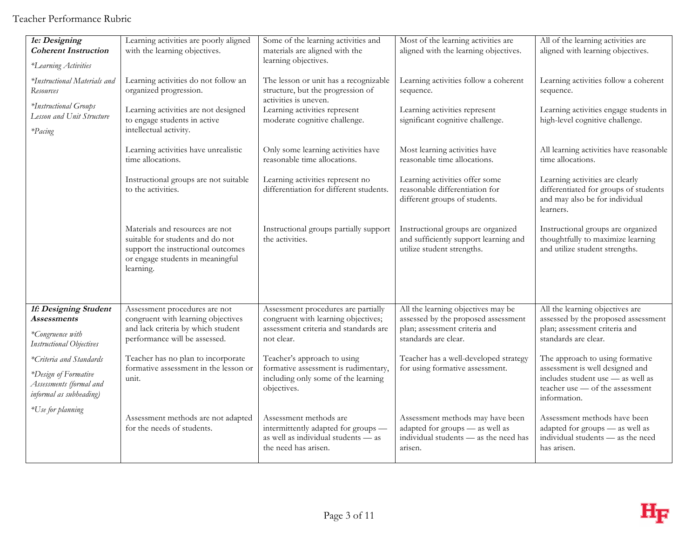Teacher Performance Rubric

| 1e: Designing<br><b>Coherent Instruction</b><br>*Learning Activities       | Learning activities are poorly aligned<br>with the learning objectives.                                                                                    | Some of the learning activities and<br>materials are aligned with the<br>learning objectives.                                | Most of the learning activities are<br>aligned with the learning objectives.                                            | All of the learning activities are<br>aligned with learning objectives.                                                 |
|----------------------------------------------------------------------------|------------------------------------------------------------------------------------------------------------------------------------------------------------|------------------------------------------------------------------------------------------------------------------------------|-------------------------------------------------------------------------------------------------------------------------|-------------------------------------------------------------------------------------------------------------------------|
| *Instructional Materials and<br><b>Resources</b>                           | Learning activities do not follow an<br>organized progression.                                                                                             | The lesson or unit has a recognizable<br>structure, but the progression of<br>activities is uneven.                          | Learning activities follow a coherent<br>sequence.                                                                      | Learning activities follow a coherent<br>sequence.                                                                      |
| *Instructional Groups<br>Lesson and Unit Structure<br>*Pacing              | Learning activities are not designed<br>to engage students in active<br>intellectual activity.                                                             | Learning activities represent<br>moderate cognitive challenge.                                                               | Learning activities represent<br>significant cognitive challenge.                                                       | Learning activities engage students in<br>high-level cognitive challenge.                                               |
|                                                                            | Learning activities have unrealistic<br>time allocations.                                                                                                  | Only some learning activities have<br>reasonable time allocations.                                                           | Most learning activities have<br>reasonable time allocations.                                                           | All learning activities have reasonable<br>time allocations.                                                            |
|                                                                            | Instructional groups are not suitable<br>to the activities.                                                                                                | Learning activities represent no<br>differentiation for different students.                                                  | Learning activities offer some<br>reasonable differentiation for<br>different groups of students.                       | Learning activities are clearly<br>differentiated for groups of students<br>and may also be for individual<br>learners. |
|                                                                            | Materials and resources are not<br>suitable for students and do not<br>support the instructional outcomes<br>or engage students in meaningful<br>learning. | Instructional groups partially support<br>the activities.                                                                    | Instructional groups are organized<br>and sufficiently support learning and<br>utilize student strengths.               | Instructional groups are organized<br>thoughtfully to maximize learning<br>and utilize student strengths.               |
| 1f: Designing Student<br>Assessments                                       | Assessment procedures are not<br>congruent with learning objectives                                                                                        | Assessment procedures are partially<br>congruent with learning objectives;                                                   | All the learning objectives may be<br>assessed by the proposed assessment                                               | All the learning objectives are<br>assessed by the proposed assessment                                                  |
| *Congruence with<br><b>Instructional Objectives</b>                        | and lack criteria by which student<br>performance will be assessed.                                                                                        | assessment criteria and standards are<br>not clear.                                                                          | plan; assessment criteria and<br>standards are clear.                                                                   | plan; assessment criteria and<br>standards are clear.                                                                   |
| *Criteria and Standards                                                    | Teacher has no plan to incorporate                                                                                                                         | Teacher's approach to using                                                                                                  | Teacher has a well-developed strategy                                                                                   | The approach to using formative                                                                                         |
| *Design of Formative<br>Assessments (formal and<br>informal as subheading) | formative assessment in the lesson or<br>unit.                                                                                                             | formative assessment is rudimentary,<br>including only some of the learning<br>objectives.                                   | for using formative assessment.                                                                                         | assessment is well designed and<br>includes student use - as well as<br>teacher use - of the assessment<br>information. |
| *Use for planning                                                          | Assessment methods are not adapted<br>for the needs of students.                                                                                           | Assessment methods are<br>intermittently adapted for groups -<br>as well as individual students - as<br>the need has arisen. | Assessment methods may have been<br>adapted for groups - as well as<br>individual students - as the need has<br>arisen. | Assessment methods have been<br>adapted for groups - as well as<br>individual students - as the need<br>has arisen.     |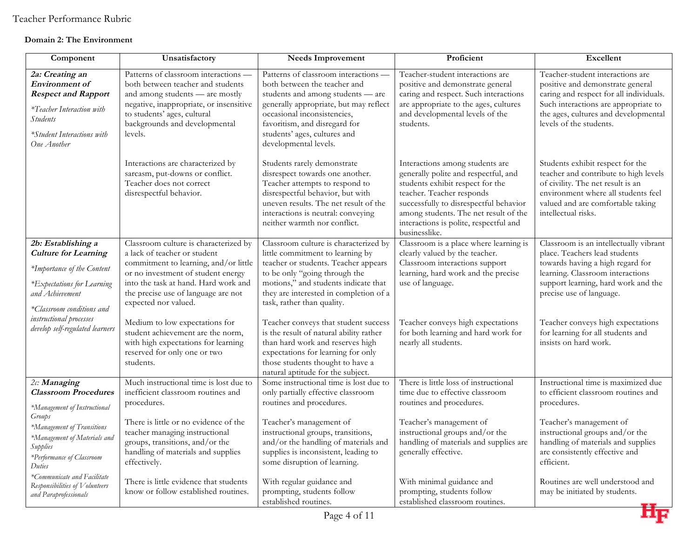### **Domain 2: The Environment**

| Component                                                                                                                                                           | Unsatisfactory                                                                                                                                                                                                                                              | <b>Needs Improvement</b>                                                                                                                                                                                                                                                     | Proficient                                                                                                                                                                                                                                                                             | Excellent                                                                                                                                                                                                                  |
|---------------------------------------------------------------------------------------------------------------------------------------------------------------------|-------------------------------------------------------------------------------------------------------------------------------------------------------------------------------------------------------------------------------------------------------------|------------------------------------------------------------------------------------------------------------------------------------------------------------------------------------------------------------------------------------------------------------------------------|----------------------------------------------------------------------------------------------------------------------------------------------------------------------------------------------------------------------------------------------------------------------------------------|----------------------------------------------------------------------------------------------------------------------------------------------------------------------------------------------------------------------------|
| 2a: Creating an<br><b>Environment</b> of<br><b>Respect and Rapport</b><br>*Teacher Interaction with<br><b>Students</b><br>*Student Interactions with<br>One Another | Patterns of classroom interactions -<br>both between teacher and students<br>and among students - are mostly<br>negative, inappropriate, or insensitive<br>to students' ages, cultural<br>backgrounds and developmental<br>levels.                          | Patterns of classroom interactions -<br>both between the teacher and<br>students and among students - are<br>generally appropriate, but may reflect<br>occasional inconsistencies,<br>favoritism, and disregard for<br>students' ages, cultures and<br>developmental levels. | Teacher-student interactions are<br>positive and demonstrate general<br>caring and respect. Such interactions<br>are appropriate to the ages, cultures<br>and developmental levels of the<br>students.                                                                                 | Teacher-student interactions are<br>positive and demonstrate general<br>caring and respect for all individuals.<br>Such interactions are appropriate to<br>the ages, cultures and developmental<br>levels of the students. |
|                                                                                                                                                                     | Interactions are characterized by<br>sarcasm, put-downs or conflict.<br>Teacher does not correct<br>disrespectful behavior.                                                                                                                                 | Students rarely demonstrate<br>disrespect towards one another.<br>Teacher attempts to respond to<br>disrespectful behavior, but with<br>uneven results. The net result of the<br>interactions is neutral: conveying<br>neither warmth nor conflict.                          | Interactions among students are<br>generally polite and respectful, and<br>students exhibit respect for the<br>teacher. Teacher responds<br>successfully to disrespectful behavior<br>among students. The net result of the<br>interactions is polite, respectful and<br>businesslike. | Students exhibit respect for the<br>teacher and contribute to high levels<br>of civility. The net result is an<br>environment where all students feel<br>valued and are comfortable taking<br>intellectual risks.          |
| 2b: Establishing a<br><b>Culture for Learning</b><br>*Importance of the Content<br>*Expectations for Learning<br>and Achievement<br>*Classroom conditions and       | Classroom culture is characterized by<br>a lack of teacher or student<br>commitment to learning, and/or little<br>or no investment of student energy<br>into the task at hand. Hard work and<br>the precise use of language are not<br>expected nor valued. | Classroom culture is characterized by<br>little commitment to learning by<br>teacher or students. Teacher appears<br>to be only "going through the<br>motions," and students indicate that<br>they are interested in completion of a<br>task, rather than quality.           | Classroom is a place where learning is<br>clearly valued by the teacher.<br>Classroom interactions support<br>learning, hard work and the precise<br>use of language.                                                                                                                  | Classroom is an intellectually vibrant<br>place. Teachers lead students<br>towards having a high regard for<br>learning. Classroom interactions<br>support learning, hard work and the<br>precise use of language.         |
| instructional processes<br>develop self-regulated learners                                                                                                          | Medium to low expectations for<br>student achievement are the norm,<br>with high expectations for learning<br>reserved for only one or two<br>students.                                                                                                     | Teacher conveys that student success<br>is the result of natural ability rather<br>than hard work and reserves high<br>expectations for learning for only<br>those students thought to have a<br>natural aptitude for the subject.                                           | Teacher conveys high expectations<br>for both learning and hard work for<br>nearly all students.                                                                                                                                                                                       | Teacher conveys high expectations<br>for learning for all students and<br>insists on hard work.                                                                                                                            |
| 2c: Managing<br><b>Classroom Procedures</b><br>*Management of Instructional                                                                                         | Much instructional time is lost due to<br>inefficient classroom routines and<br>procedures.                                                                                                                                                                 | Some instructional time is lost due to<br>only partially effective classroom<br>routines and procedures.                                                                                                                                                                     | There is little loss of instructional<br>time due to effective classroom<br>routines and procedures.                                                                                                                                                                                   | Instructional time is maximized due<br>to efficient classroom routines and<br>procedures.                                                                                                                                  |
| Groups<br>*Management of Transitions<br>*Management of Materials and<br>Supplies<br>*Performance of Classroom<br>Duties                                             | There is little or no evidence of the<br>teacher managing instructional<br>groups, transitions, and/or the<br>handling of materials and supplies<br>effectively.                                                                                            | Teacher's management of<br>instructional groups, transitions,<br>and/or the handling of materials and<br>supplies is inconsistent, leading to<br>some disruption of learning.                                                                                                | Teacher's management of<br>instructional groups and/or the<br>handling of materials and supplies are<br>generally effective.                                                                                                                                                           | Teacher's management of<br>instructional groups and/or the<br>handling of materials and supplies<br>are consistently effective and<br>efficient.                                                                           |
| *Communicate and Facilitate<br>Responsibilities of Volunteers<br>and Paraprofessionals                                                                              | There is little evidence that students<br>know or follow established routines.                                                                                                                                                                              | With regular guidance and<br>prompting, students follow<br>established routines.                                                                                                                                                                                             | With minimal guidance and<br>prompting, students follow<br>established classroom routines.                                                                                                                                                                                             | Routines are well understood and<br>may be initiated by students.                                                                                                                                                          |

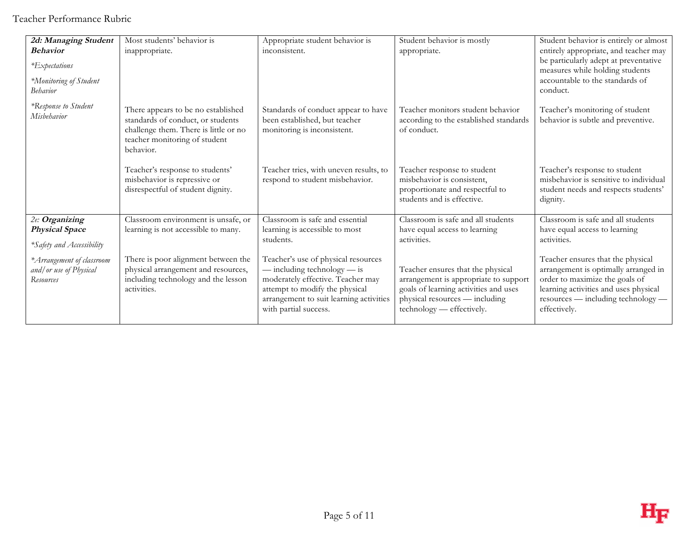| 2d: Managing Student<br><b>Behavior</b><br>*Expectations<br>*Monitoring of Student<br><b>Behavior</b> | Most students' behavior is<br>inappropriate.                                                                                                                   | Appropriate student behavior is<br>inconsistent.                                                                                                                                                                  | Student behavior is mostly<br>appropriate.                                                                                                                                         | Student behavior is entirely or almost<br>entirely appropriate, and teacher may<br>be particularly adept at preventative<br>measures while holding students<br>accountable to the standards of<br>conduct. |
|-------------------------------------------------------------------------------------------------------|----------------------------------------------------------------------------------------------------------------------------------------------------------------|-------------------------------------------------------------------------------------------------------------------------------------------------------------------------------------------------------------------|------------------------------------------------------------------------------------------------------------------------------------------------------------------------------------|------------------------------------------------------------------------------------------------------------------------------------------------------------------------------------------------------------|
| *Response to Student<br>Misbehavior                                                                   | There appears to be no established<br>standards of conduct, or students<br>challenge them. There is little or no<br>teacher monitoring of student<br>behavior. | Standards of conduct appear to have<br>been established, but teacher<br>monitoring is inconsistent.                                                                                                               | Teacher monitors student behavior<br>according to the established standards<br>of conduct.                                                                                         | Teacher's monitoring of student<br>behavior is subtle and preventive.                                                                                                                                      |
|                                                                                                       | Teacher's response to students'<br>misbehavior is repressive or<br>disrespectful of student dignity.                                                           | Teacher tries, with uneven results, to<br>respond to student misbehavior.                                                                                                                                         | Teacher response to student<br>misbehavior is consistent,<br>proportionate and respectful to<br>students and is effective.                                                         | Teacher's response to student<br>misbehavior is sensitive to individual<br>student needs and respects students'<br>dignity.                                                                                |
| 2e: Organizing<br><b>Physical Space</b><br>*Safety and Accessibility                                  | Classroom environment is unsafe, or<br>learning is not accessible to many.                                                                                     | Classroom is safe and essential<br>learning is accessible to most<br>students.                                                                                                                                    | Classroom is safe and all students<br>have equal access to learning<br>activities.                                                                                                 | Classroom is safe and all students<br>have equal access to learning<br>activities.                                                                                                                         |
| * Arrangement of classroom<br>and/ or use of Physical<br>Resources                                    | There is poor alignment between the<br>physical arrangement and resources,<br>including technology and the lesson<br>activities.                               | Teacher's use of physical resources<br>$-$ including technology $-$ is<br>moderately effective. Teacher may<br>attempt to modify the physical<br>arrangement to suit learning activities<br>with partial success. | Teacher ensures that the physical<br>arrangement is appropriate to support<br>goals of learning activities and uses<br>physical resources — including<br>technology — effectively. | Teacher ensures that the physical<br>arrangement is optimally arranged in<br>order to maximize the goals of<br>learning activities and uses physical<br>resources — including technology —<br>effectively. |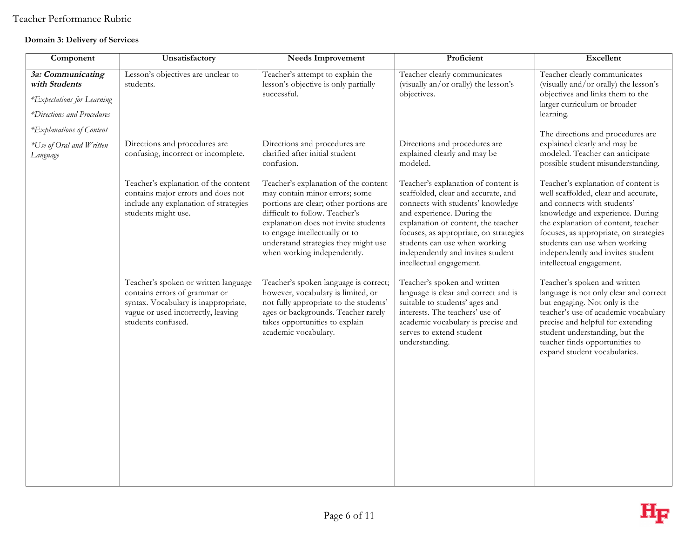### **Domain 3: Delivery of Services**

| Component                                                                                      | Unsatisfactory                                                                                                                                                            | <b>Needs Improvement</b>                                                                                                                                                                                                                                                                            | Proficient                                                                                                                                                                                                                                                                                                                       | Excellent                                                                                                                                                                                                                                                                                                                         |
|------------------------------------------------------------------------------------------------|---------------------------------------------------------------------------------------------------------------------------------------------------------------------------|-----------------------------------------------------------------------------------------------------------------------------------------------------------------------------------------------------------------------------------------------------------------------------------------------------|----------------------------------------------------------------------------------------------------------------------------------------------------------------------------------------------------------------------------------------------------------------------------------------------------------------------------------|-----------------------------------------------------------------------------------------------------------------------------------------------------------------------------------------------------------------------------------------------------------------------------------------------------------------------------------|
| 3a: Communicating<br>with Students<br>*Expectations for Learning<br>*Directions and Procedures | Lesson's objectives are unclear to<br>students.                                                                                                                           | Teacher's attempt to explain the<br>lesson's objective is only partially<br>successful.                                                                                                                                                                                                             | Teacher clearly communicates<br>(visually an/or orally) the lesson's<br>objectives.                                                                                                                                                                                                                                              | Teacher clearly communicates<br>(visually and/or orally) the lesson's<br>objectives and links them to the<br>larger curriculum or broader<br>learning.                                                                                                                                                                            |
| *Explanations of Content                                                                       |                                                                                                                                                                           |                                                                                                                                                                                                                                                                                                     |                                                                                                                                                                                                                                                                                                                                  | The directions and procedures are                                                                                                                                                                                                                                                                                                 |
| *Use of Oral and Written<br>Language                                                           | Directions and procedures are<br>confusing, incorrect or incomplete.                                                                                                      | Directions and procedures are<br>clarified after initial student<br>confusion.                                                                                                                                                                                                                      | Directions and procedures are<br>explained clearly and may be<br>modeled.                                                                                                                                                                                                                                                        | explained clearly and may be<br>modeled. Teacher can anticipate<br>possible student misunderstanding.                                                                                                                                                                                                                             |
|                                                                                                | Teacher's explanation of the content<br>contains major errors and does not<br>include any explanation of strategies<br>students might use.                                | Teacher's explanation of the content<br>may contain minor errors; some<br>portions are clear; other portions are<br>difficult to follow. Teacher's<br>explanation does not invite students<br>to engage intellectually or to<br>understand strategies they might use<br>when working independently. | Teacher's explanation of content is<br>scaffolded, clear and accurate, and<br>connects with students' knowledge<br>and experience. During the<br>explanation of content, the teacher<br>focuses, as appropriate, on strategies<br>students can use when working<br>independently and invites student<br>intellectual engagement. | Teacher's explanation of content is<br>well scaffolded, clear and accurate,<br>and connects with students'<br>knowledge and experience. During<br>the explanation of content, teacher<br>focuses, as appropriate, on strategies<br>students can use when working<br>independently and invites student<br>intellectual engagement. |
|                                                                                                | Teacher's spoken or written language<br>contains errors of grammar or<br>syntax. Vocabulary is inappropriate,<br>vague or used incorrectly, leaving<br>students confused. | Teacher's spoken language is correct;<br>however, vocabulary is limited, or<br>not fully appropriate to the students'<br>ages or backgrounds. Teacher rarely<br>takes opportunities to explain<br>academic vocabulary.                                                                              | Teacher's spoken and written<br>language is clear and correct and is<br>suitable to students' ages and<br>interests. The teachers' use of<br>academic vocabulary is precise and<br>serves to extend student<br>understanding.                                                                                                    | Teacher's spoken and written<br>language is not only clear and correct<br>but engaging. Not only is the<br>teacher's use of academic vocabulary<br>precise and helpful for extending<br>student understanding, but the<br>teacher finds opportunities to<br>expand student vocabularies.                                          |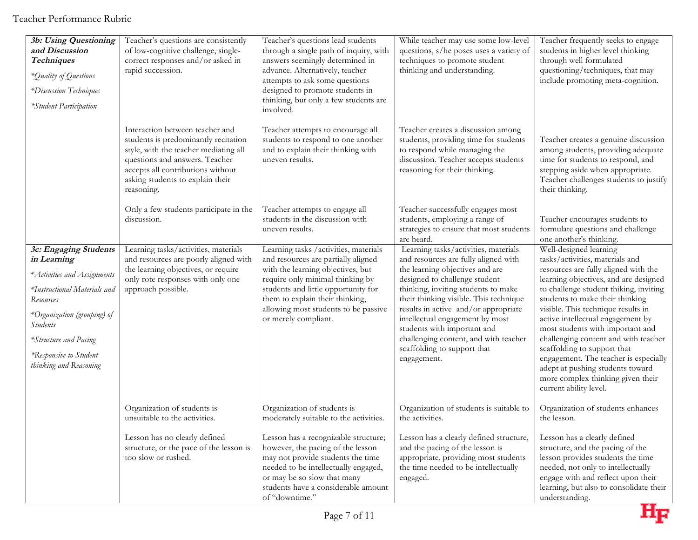| 3b: Using Questioning<br>and Discussion<br><b>Techniques</b><br>*Quality of Questions<br>*Discussion Techniques<br>*Student Participation                                                                                                              | Teacher's questions are consistently<br>of low-cognitive challenge, single-<br>correct responses and/or asked in<br>rapid succession.                                                                                                     | Teacher's questions lead students<br>through a single path of inquiry, with<br>answers seemingly determined in<br>advance. Alternatively, teacher<br>attempts to ask some questions<br>designed to promote students in<br>thinking, but only a few students are<br>involved.                    | While teacher may use some low-level<br>questions, s/he poses uses a variety of<br>techniques to promote student<br>thinking and understanding.                                                                                                                                                                                                                                                                                    | Teacher frequently seeks to engage<br>students in higher level thinking<br>through well formulated<br>questioning/techniques, that may<br>include promoting meta-cognition.                                                                                                                                                                                                                                                                                                                                                                               |
|--------------------------------------------------------------------------------------------------------------------------------------------------------------------------------------------------------------------------------------------------------|-------------------------------------------------------------------------------------------------------------------------------------------------------------------------------------------------------------------------------------------|-------------------------------------------------------------------------------------------------------------------------------------------------------------------------------------------------------------------------------------------------------------------------------------------------|------------------------------------------------------------------------------------------------------------------------------------------------------------------------------------------------------------------------------------------------------------------------------------------------------------------------------------------------------------------------------------------------------------------------------------|-----------------------------------------------------------------------------------------------------------------------------------------------------------------------------------------------------------------------------------------------------------------------------------------------------------------------------------------------------------------------------------------------------------------------------------------------------------------------------------------------------------------------------------------------------------|
|                                                                                                                                                                                                                                                        | Interaction between teacher and<br>students is predominantly recitation<br>style, with the teacher mediating all<br>questions and answers. Teacher<br>accepts all contributions without<br>asking students to explain their<br>reasoning. | Teacher attempts to encourage all<br>students to respond to one another<br>and to explain their thinking with<br>uneven results.                                                                                                                                                                | Teacher creates a discussion among<br>students, providing time for students<br>to respond while managing the<br>discussion. Teacher accepts students<br>reasoning for their thinking.                                                                                                                                                                                                                                              | Teacher creates a genuine discussion<br>among students, providing adequate<br>time for students to respond, and<br>stepping aside when appropriate.<br>Teacher challenges students to justify<br>their thinking.                                                                                                                                                                                                                                                                                                                                          |
|                                                                                                                                                                                                                                                        | Only a few students participate in the<br>discussion.                                                                                                                                                                                     | Teacher attempts to engage all<br>students in the discussion with<br>uneven results.                                                                                                                                                                                                            | Teacher successfully engages most<br>students, employing a range of<br>strategies to ensure that most students<br>are heard.                                                                                                                                                                                                                                                                                                       | Teacher encourages students to<br>formulate questions and challenge<br>one another's thinking.                                                                                                                                                                                                                                                                                                                                                                                                                                                            |
| 3c: Engaging Students<br>in Learning<br>*Activities and Assignments<br>*Instructional Materials and<br><b>Resources</b><br>*Organization (grouping) of<br><b>Students</b><br>*Structure and Pacing<br>*Responsive to Student<br>thinking and Reasoning | Learning tasks/activities, materials<br>and resources are poorly aligned with<br>the learning objectives, or require<br>only rote responses with only one<br>approach possible.                                                           | Learning tasks /activities, materials<br>and resources are partially aligned<br>with the learning objectives, but<br>require only minimal thinking by<br>students and little opportunity for<br>them to explain their thinking,<br>allowing most students to be passive<br>or merely compliant. | Learning tasks/activities, materials<br>and resources are fully aligned with<br>the learning objectives and are<br>designed to challenge student<br>thinking, inviting students to make<br>their thinking visible. This technique<br>results in active and/or appropriate<br>intellectual engagement by most<br>students with important and<br>challenging content, and with teacher<br>scaffolding to support that<br>engagement. | Well-designed learning<br>tasks/activities, materials and<br>resources are fully aligned with the<br>learning objectives, and are designed<br>to challenge student thiking, inviting<br>students to make their thinking<br>visible. This technique results in<br>active intellectual engagement by<br>most students with important and<br>challenging content and with teacher<br>scaffolding to support that<br>engagement. The teacher is especially<br>adept at pushing students toward<br>more complex thinking given their<br>current ability level. |
|                                                                                                                                                                                                                                                        | Organization of students is<br>unsuitable to the activities.<br>Lesson has no clearly defined                                                                                                                                             | Organization of students is<br>moderately suitable to the activities.<br>Lesson has a recognizable structure;                                                                                                                                                                                   | Organization of students is suitable to<br>the activities.<br>Lesson has a clearly defined structure,                                                                                                                                                                                                                                                                                                                              | Organization of students enhances<br>the lesson.<br>Lesson has a clearly defined                                                                                                                                                                                                                                                                                                                                                                                                                                                                          |
|                                                                                                                                                                                                                                                        | structure, or the pace of the lesson is<br>too slow or rushed.                                                                                                                                                                            | however, the pacing of the lesson<br>may not provide students the time<br>needed to be intellectually engaged,<br>or may be so slow that many<br>students have a considerable amount<br>of "downtime."                                                                                          | and the pacing of the lesson is<br>appropriate, providing most students<br>the time needed to be intellectually<br>engaged.                                                                                                                                                                                                                                                                                                        | structure, and the pacing of the<br>lesson provides students the time<br>needed, not only to intellectually<br>engage with and reflect upon their<br>learning, but also to consolidate their<br>understanding.                                                                                                                                                                                                                                                                                                                                            |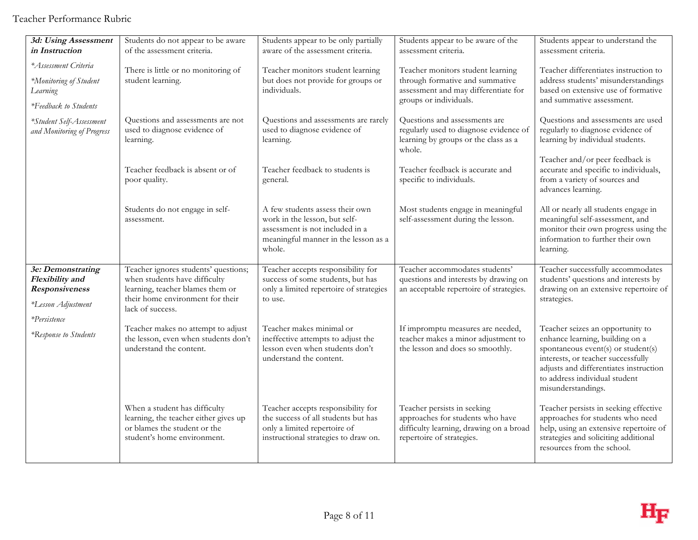| 3d: Using Assessment               | Students do not appear to be aware                                   | Students appear to be only partially                                    | Students appear to be aware of the                                                       | Students appear to understand the                                                            |
|------------------------------------|----------------------------------------------------------------------|-------------------------------------------------------------------------|------------------------------------------------------------------------------------------|----------------------------------------------------------------------------------------------|
| in Instruction                     | of the assessment criteria.                                          | aware of the assessment criteria.                                       | assessment criteria.                                                                     | assessment criteria.                                                                         |
| *Assessment Criteria               | There is little or no monitoring of                                  | Teacher monitors student learning                                       | Teacher monitors student learning                                                        | Teacher differentiates instruction to                                                        |
| *Monitoring of Student             | student learning.                                                    | but does not provide for groups or                                      | through formative and summative                                                          | address students' misunderstandings                                                          |
| Learning                           |                                                                      | individuals.                                                            | assessment and may differentiate for                                                     | based on extensive use of formative                                                          |
| *Feedback to Students              |                                                                      |                                                                         | groups or individuals.                                                                   | and summative assessment.                                                                    |
| *Student Self-Assessment           | Questions and assessments are not                                    | Questions and assessments are rarely                                    | Questions and assessments are                                                            | Questions and assessments are used                                                           |
| and Monitoring of Progress         | used to diagnose evidence of<br>learning.                            | used to diagnose evidence of<br>learning.                               | regularly used to diagnose evidence of<br>learning by groups or the class as a<br>whole. | regularly to diagnose evidence of<br>learning by individual students.                        |
|                                    |                                                                      |                                                                         |                                                                                          | Teacher and/or peer feedback is                                                              |
|                                    | Teacher feedback is absent or of<br>poor quality.                    | Teacher feedback to students is<br>general.                             | Teacher feedback is accurate and<br>specific to individuals.                             | accurate and specific to individuals,<br>from a variety of sources and<br>advances learning. |
|                                    | Students do not engage in self-                                      | A few students assess their own                                         | Most students engage in meaningful                                                       | All or nearly all students engage in                                                         |
|                                    | assessment.                                                          | work in the lesson, but self-                                           | self-assessment during the lesson.                                                       | meaningful self-assessment, and<br>monitor their own progress using the                      |
|                                    |                                                                      | assessment is not included in a<br>meaningful manner in the lesson as a |                                                                                          | information to further their own                                                             |
|                                    |                                                                      | whole.                                                                  |                                                                                          | learning.                                                                                    |
| 3e: Demonstrating                  | Teacher ignores students' questions;                                 | Teacher accepts responsibility for                                      | Teacher accommodates students'                                                           | Teacher successfully accommodates                                                            |
| Flexibility and                    | when students have difficulty                                        | success of some students, but has                                       | questions and interests by drawing on                                                    | students' questions and interests by                                                         |
| <b>Responsiveness</b>              | learning, teacher blames them or<br>their home environment for their | only a limited repertoire of strategies<br>to use.                      | an acceptable repertoire of strategies.                                                  | drawing on an extensive repertoire of<br>strategies.                                         |
| *Lesson Adjustment<br>*Persistence | lack of success.                                                     |                                                                         |                                                                                          |                                                                                              |
| *Response to Students              | Teacher makes no attempt to adjust                                   | Teacher makes minimal or                                                | If impromptu measures are needed,                                                        | Teacher seizes an opportunity to                                                             |
|                                    | the lesson, even when students don't<br>understand the content.      | ineffective attempts to adjust the<br>lesson even when students don't   | teacher makes a minor adjustment to<br>the lesson and does so smoothly.                  | enhance learning, building on a                                                              |
|                                    |                                                                      | understand the content.                                                 |                                                                                          | spontaneous event(s) or student(s)<br>interests, or teacher successfully                     |
|                                    |                                                                      |                                                                         |                                                                                          | adjusts and differentiates instruction                                                       |
|                                    |                                                                      |                                                                         |                                                                                          | to address individual student<br>misunderstandings.                                          |
|                                    | When a student has difficulty                                        | Teacher accepts responsibility for                                      | Teacher persists in seeking                                                              | Teacher persists in seeking effective                                                        |
|                                    | learning, the teacher either gives up                                | the success of all students but has                                     | approaches for students who have                                                         | approaches for students who need                                                             |
|                                    | or blames the student or the<br>student's home environment.          | only a limited repertoire of<br>instructional strategies to draw on.    | difficulty learning, drawing on a broad<br>repertoire of strategies.                     | help, using an extensive repertoire of<br>strategies and soliciting additional               |
|                                    |                                                                      |                                                                         |                                                                                          |                                                                                              |
|                                    |                                                                      |                                                                         |                                                                                          | resources from the school.                                                                   |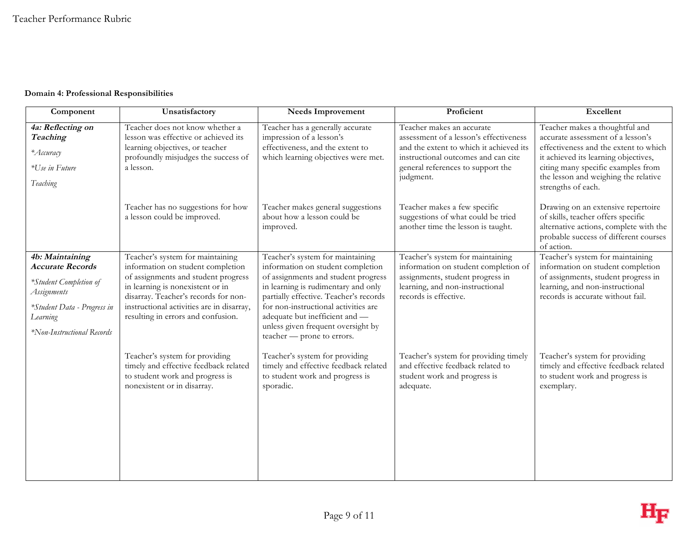#### **Domain 4: Professional Responsibilities**

| Component                                                                                                                                                    | Unsatisfactory                                                                                                                                                                                                                                                              | <b>Needs Improvement</b>                                                                                                                                                                                                                                                                                                                    | Proficient                                                                                                                                                                                              | Excellent                                                                                                                                                                                                                                                |
|--------------------------------------------------------------------------------------------------------------------------------------------------------------|-----------------------------------------------------------------------------------------------------------------------------------------------------------------------------------------------------------------------------------------------------------------------------|---------------------------------------------------------------------------------------------------------------------------------------------------------------------------------------------------------------------------------------------------------------------------------------------------------------------------------------------|---------------------------------------------------------------------------------------------------------------------------------------------------------------------------------------------------------|----------------------------------------------------------------------------------------------------------------------------------------------------------------------------------------------------------------------------------------------------------|
| 4a: Reflecting on<br>Teaching<br>*Accuracy<br>*Use in Future<br>Teaching                                                                                     | Teacher does not know whether a<br>lesson was effective or achieved its<br>learning objectives, or teacher<br>profoundly misjudges the success of<br>a lesson.                                                                                                              | Teacher has a generally accurate<br>impression of a lesson's<br>effectiveness, and the extent to<br>which learning objectives were met.                                                                                                                                                                                                     | Teacher makes an accurate<br>assessment of a lesson's effectiveness<br>and the extent to which it achieved its<br>instructional outcomes and can cite<br>general references to support the<br>judgment. | Teacher makes a thoughtful and<br>accurate assessment of a lesson's<br>effectiveness and the extent to which<br>it achieved its learning objectives,<br>citing many specific examples from<br>the lesson and weighing the relative<br>strengths of each. |
|                                                                                                                                                              | Teacher has no suggestions for how<br>a lesson could be improved.                                                                                                                                                                                                           | Teacher makes general suggestions<br>about how a lesson could be<br>improved.                                                                                                                                                                                                                                                               | Teacher makes a few specific<br>suggestions of what could be tried<br>another time the lesson is taught.                                                                                                | Drawing on an extensive repertoire<br>of skills, teacher offers specific<br>alternative actions, complete with the<br>probable success of different courses<br>of action.                                                                                |
| 4b: Maintaining<br><b>Accurate Records</b><br>*Student Completion of<br>Assignments<br>*Student Data - Progress in<br>Learning<br>*Non-Instructional Records | Teacher's system for maintaining<br>information on student completion<br>of assignments and student progress<br>in learning is nonexistent or in<br>disarray. Teacher's records for non-<br>instructional activities are in disarray,<br>resulting in errors and confusion. | Teacher's system for maintaining<br>information on student completion<br>of assignments and student progress<br>in learning is rudimentary and only<br>partially effective. Teacher's records<br>for non-instructional activities are<br>adequate but inefficient and -<br>unless given frequent oversight by<br>teacher - prone to errors. | Teacher's system for maintaining<br>information on student completion of<br>assignments, student progress in<br>learning, and non-instructional<br>records is effective.                                | Teacher's system for maintaining<br>information on student completion<br>of assignments, student progress in<br>learning, and non-instructional<br>records is accurate without fail.                                                                     |
|                                                                                                                                                              | Teacher's system for providing<br>timely and effective feedback related<br>to student work and progress is<br>nonexistent or in disarray.                                                                                                                                   | Teacher's system for providing<br>timely and effective feedback related<br>to student work and progress is<br>sporadic.                                                                                                                                                                                                                     | Teacher's system for providing timely<br>and effective feedback related to<br>student work and progress is<br>adequate.                                                                                 | Teacher's system for providing<br>timely and effective feedback related<br>to student work and progress is<br>exemplary.                                                                                                                                 |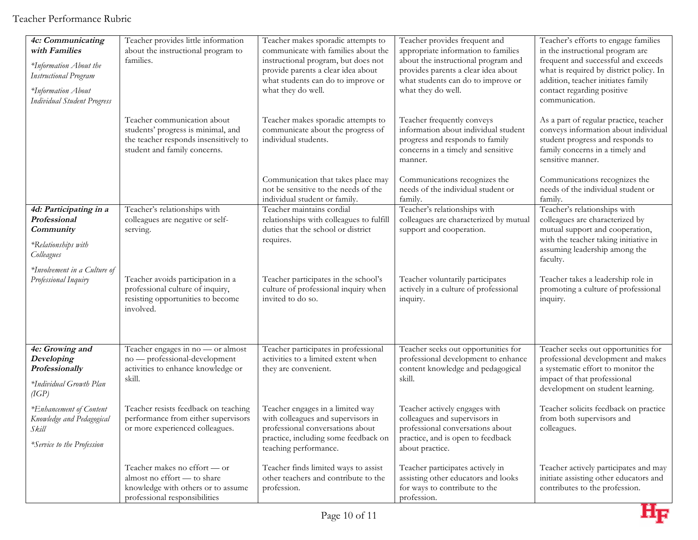| 4c: Communicating<br>with Families<br>*Information About the<br><b>Instructional Program</b><br>*Information About<br><b>Individual Student Progress</b> | Teacher provides little information<br>about the instructional program to<br>families.                                                     | Teacher makes sporadic attempts to<br>communicate with families about the<br>instructional program, but does not<br>provide parents a clear idea about<br>what students can do to improve or<br>what they do well. | Teacher provides frequent and<br>appropriate information to families<br>about the instructional program and<br>provides parents a clear idea about<br>what students can do to improve or<br>what they do well. | Teacher's efforts to engage families<br>in the instructional program are<br>frequent and successful and exceeds<br>what is required by district policy. In<br>addition, teacher initiates family<br>contact regarding positive<br>communication. |
|----------------------------------------------------------------------------------------------------------------------------------------------------------|--------------------------------------------------------------------------------------------------------------------------------------------|--------------------------------------------------------------------------------------------------------------------------------------------------------------------------------------------------------------------|----------------------------------------------------------------------------------------------------------------------------------------------------------------------------------------------------------------|--------------------------------------------------------------------------------------------------------------------------------------------------------------------------------------------------------------------------------------------------|
|                                                                                                                                                          | Teacher communication about<br>students' progress is minimal, and<br>the teacher responds insensitively to<br>student and family concerns. | Teacher makes sporadic attempts to<br>communicate about the progress of<br>individual students.                                                                                                                    | Teacher frequently conveys<br>information about individual student<br>progress and responds to family<br>concerns in a timely and sensitive<br>manner.                                                         | As a part of regular practice, teacher<br>conveys information about individual<br>student progress and responds to<br>family concerns in a timely and<br>sensitive manner.                                                                       |
|                                                                                                                                                          |                                                                                                                                            | Communication that takes place may<br>not be sensitive to the needs of the<br>individual student or family.                                                                                                        | Communications recognizes the<br>needs of the individual student or<br>family.                                                                                                                                 | Communications recognizes the<br>needs of the individual student or<br>family.                                                                                                                                                                   |
| 4d: Participating in a<br>Professional<br>Community<br>*Relationships with<br>Colleagues                                                                 | Teacher's relationships with<br>colleagues are negative or self-<br>serving.                                                               | Teacher maintains cordial<br>relationships with colleagues to fulfill<br>duties that the school or district<br>requires.                                                                                           | Teacher's relationships with<br>colleagues are characterized by mutual<br>support and cooperation.                                                                                                             | Teacher's relationships with<br>colleagues are characterized by<br>mutual support and cooperation,<br>with the teacher taking initiative in<br>assuming leadership among the<br>faculty.                                                         |
| *Involvement in a Culture of<br>Professional Inquiry                                                                                                     | Teacher avoids participation in a<br>professional culture of inquiry,<br>resisting opportunities to become<br>involved.                    | Teacher participates in the school's<br>culture of professional inquiry when<br>invited to do so.                                                                                                                  | Teacher voluntarily participates<br>actively in a culture of professional<br>inquiry.                                                                                                                          | Teacher takes a leadership role in<br>promoting a culture of professional<br>inquiry.                                                                                                                                                            |
| 4e: Growing and<br>Developing<br>Professionally<br>*Individual Growth Plan<br>$(\overline{IGP})$                                                         | Teacher engages in no - or almost<br>no - professional-development<br>activities to enhance knowledge or<br>skill.                         | Teacher participates in professional<br>activities to a limited extent when<br>they are convenient.                                                                                                                | Teacher seeks out opportunities for<br>professional development to enhance<br>content knowledge and pedagogical<br>skill.                                                                                      | Teacher seeks out opportunities for<br>professional development and makes<br>a systematic effort to monitor the<br>impact of that professional<br>development on student learning.                                                               |
| *Enhancement of Content<br>Knowledge and Pedagogical<br>Skill<br>*Service to the Profession                                                              | Teacher resists feedback on teaching<br>performance from either supervisors<br>or more experienced colleagues.                             | Teacher engages in a limited way<br>with colleagues and supervisors in<br>professional conversations about<br>practice, including some feedback on<br>teaching performance.                                        | Teacher actively engages with<br>colleagues and supervisors in<br>professional conversations about<br>practice, and is open to feedback<br>about practice.                                                     | Teacher solicits feedback on practice<br>from both supervisors and<br>colleagues.                                                                                                                                                                |
|                                                                                                                                                          | Teacher makes no effort - or<br>almost no effort - to share<br>knowledge with others or to assume<br>professional responsibilities         | Teacher finds limited ways to assist<br>other teachers and contribute to the<br>profession.                                                                                                                        | Teacher participates actively in<br>assisting other educators and looks<br>for ways to contribute to the<br>profession.                                                                                        | Teacher actively participates and may<br>initiate assisting other educators and<br>contributes to the profession.                                                                                                                                |